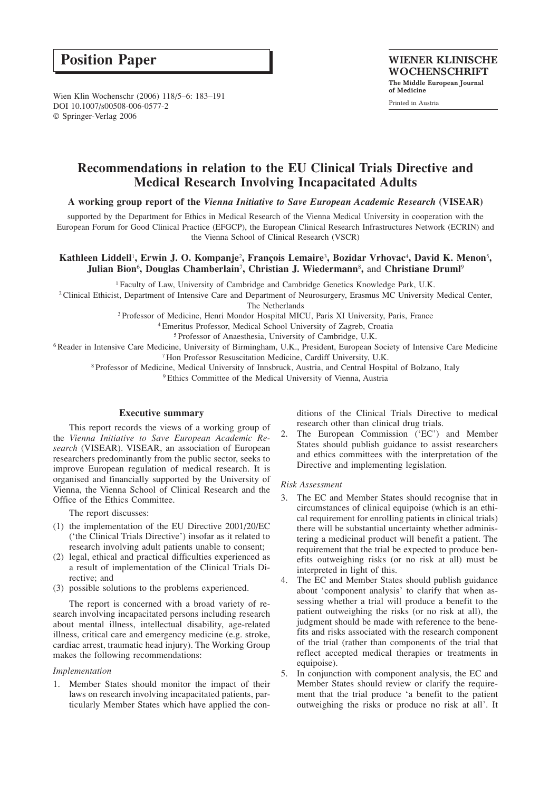# **Position Paper**

**WIENER KLINISCHE WOCHENSCHRIFT** The Middle European Journal of Medicine

Printed in Austria

Wien Klin Wochenschr (2006) 118/5–6: 183–191 DOI 10.1007/s00508-006-0577-2 © Springer-Verlag 2006

## **Recommendations in relation to the EU Clinical Trials Directive and Medical Research Involving Incapacitated Adults**

**A working group report of the** *Vienna Initiative to Save European Academic Research* **(VISEAR)**

supported by the Department for Ethics in Medical Research of the Vienna Medical University in cooperation with the European Forum for Good Clinical Practice (EFGCP), the European Clinical Research Infrastructures Network (ECRIN) and the Vienna School of Clinical Research (VSCR)

## **Kathleen Liddell**1**, Erwin J. O. Kompanje**2**, François Lemaire**3**, Bozidar Vrhovac**4**, David K. Menon**<sup>5</sup> **, Julian Bion**6**, Douglas Chamberlain**7**, Christian J. Wiedermann**8**,** and **Christiane Druml**<sup>9</sup>

<sup>1</sup> Faculty of Law, University of Cambridge and Cambridge Genetics Knowledge Park, U.K.

<sup>2</sup> Clinical Ethicist, Department of Intensive Care and Department of Neurosurgery, Erasmus MC University Medical Center, The Netherlands

<sup>3</sup> Professor of Medicine, Henri Mondor Hospital MICU, Paris XI University, Paris, France

<sup>4</sup> Emeritus Professor, Medical School University of Zagreb, Croatia

<sup>5</sup> Professor of Anaesthesia, University of Cambridge, U.K.

<sup>6</sup> Reader in Intensive Care Medicine, University of Birmingham, U.K., President, European Society of Intensive Care Medicine <sup>7</sup> Hon Professor Resuscitation Medicine, Cardiff University, U.K.

<sup>8</sup> Professor of Medicine, Medical University of Innsbruck, Austria, and Central Hospital of Bolzano, Italy

<sup>9</sup> Ethics Committee of the Medical University of Vienna, Austria

## **Executive summary**

This report records the views of a working group of the *Vienna Initiative to Save European Academic Research* (VISEAR). VISEAR, an association of European researchers predominantly from the public sector, seeks to improve European regulation of medical research. It is organised and financially supported by the University of Vienna, the Vienna School of Clinical Research and the Office of the Ethics Committee.

The report discusses:

- (1) the implementation of the EU Directive 2001/20/EC ('the Clinical Trials Directive') insofar as it related to research involving adult patients unable to consent;
- (2) legal, ethical and practical difficulties experienced as a result of implementation of the Clinical Trials Directive; and
- (3) possible solutions to the problems experienced.

The report is concerned with a broad variety of research involving incapacitated persons including research about mental illness, intellectual disability, age-related illness, critical care and emergency medicine (e.g. stroke, cardiac arrest, traumatic head injury). The Working Group makes the following recommendations:

#### *Implementation*

1. Member States should monitor the impact of their laws on research involving incapacitated patients, particularly Member States which have applied the conditions of the Clinical Trials Directive to medical research other than clinical drug trials.

2. The European Commission ('EC') and Member States should publish guidance to assist researchers and ethics committees with the interpretation of the Directive and implementing legislation.

#### *Risk Assessment*

- 3. The EC and Member States should recognise that in circumstances of clinical equipoise (which is an ethical requirement for enrolling patients in clinical trials) there will be substantial uncertainty whether administering a medicinal product will benefit a patient. The requirement that the trial be expected to produce benefits outweighing risks (or no risk at all) must be interpreted in light of this.
- 4. The EC and Member States should publish guidance about 'component analysis' to clarify that when assessing whether a trial will produce a benefit to the patient outweighing the risks (or no risk at all), the judgment should be made with reference to the benefits and risks associated with the research component of the trial (rather than components of the trial that reflect accepted medical therapies or treatments in equipoise).
- 5. In conjunction with component analysis, the EC and Member States should review or clarify the requirement that the trial produce 'a benefit to the patient outweighing the risks or produce no risk at all'. It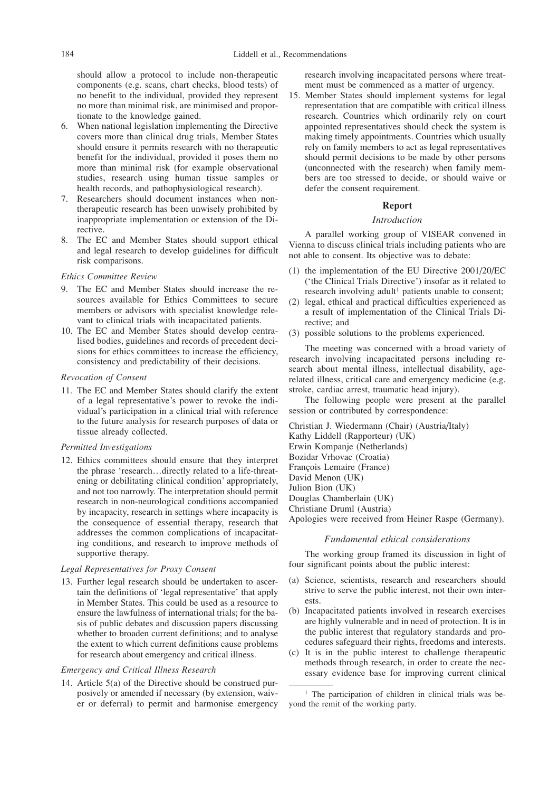should allow a protocol to include non-therapeutic components (e.g. scans, chart checks, blood tests) of no benefit to the individual, provided they represent no more than minimal risk, are minimised and proportionate to the knowledge gained.

- 6. When national legislation implementing the Directive covers more than clinical drug trials, Member States should ensure it permits research with no therapeutic benefit for the individual, provided it poses them no more than minimal risk (for example observational studies, research using human tissue samples or health records, and pathophysiological research).
- 7. Researchers should document instances when nontherapeutic research has been unwisely prohibited by inappropriate implementation or extension of the Directive.
- 8. The EC and Member States should support ethical and legal research to develop guidelines for difficult risk comparisons.

#### *Ethics Committee Review*

- 9. The EC and Member States should increase the resources available for Ethics Committees to secure members or advisors with specialist knowledge relevant to clinical trials with incapacitated patients.
- 10. The EC and Member States should develop centralised bodies, guidelines and records of precedent decisions for ethics committees to increase the efficiency, consistency and predictability of their decisions.

## *Revocation of Consent*

11. The EC and Member States should clarify the extent of a legal representative's power to revoke the individual's participation in a clinical trial with reference to the future analysis for research purposes of data or tissue already collected.

## *Permitted Investigations*

12. Ethics committees should ensure that they interpret the phrase 'research…directly related to a life-threatening or debilitating clinical condition' appropriately, and not too narrowly. The interpretation should permit research in non-neurological conditions accompanied by incapacity, research in settings where incapacity is the consequence of essential therapy, research that addresses the common complications of incapacitating conditions, and research to improve methods of supportive therapy.

#### *Legal Representatives for Proxy Consent*

13. Further legal research should be undertaken to ascertain the definitions of 'legal representative' that apply in Member States. This could be used as a resource to ensure the lawfulness of international trials; for the basis of public debates and discussion papers discussing whether to broaden current definitions; and to analyse the extent to which current definitions cause problems for research about emergency and critical illness.

#### *Emergency and Critical Illness Research*

14. Article 5(a) of the Directive should be construed purposively or amended if necessary (by extension, waiver or deferral) to permit and harmonise emergency

research involving incapacitated persons where treatment must be commenced as a matter of urgency.

15. Member States should implement systems for legal representation that are compatible with critical illness research. Countries which ordinarily rely on court appointed representatives should check the system is making timely appointments. Countries which usually rely on family members to act as legal representatives should permit decisions to be made by other persons (unconnected with the research) when family members are too stressed to decide, or should waive or defer the consent requirement.

## **Report**

#### *Introduction*

A parallel working group of VISEAR convened in Vienna to discuss clinical trials including patients who are not able to consent. Its objective was to debate:

- (1) the implementation of the EU Directive 2001/20/EC ('the Clinical Trials Directive') insofar as it related to research involving adult<sup>1</sup> patients unable to consent;
- (2) legal, ethical and practical difficulties experienced as a result of implementation of the Clinical Trials Directive; and
- (3) possible solutions to the problems experienced.

The meeting was concerned with a broad variety of research involving incapacitated persons including research about mental illness, intellectual disability, agerelated illness, critical care and emergency medicine (e.g. stroke, cardiac arrest, traumatic head injury).

The following people were present at the parallel session or contributed by correspondence:

Christian J. Wiedermann (Chair) (Austria/Italy)

- Kathy Liddell (Rapporteur) (UK)
- Erwin Kompanje (Netherlands)
- Bozidar Vrhovac (Croatia)
- François Lemaire (France)
- David Menon (UK)
- Julion Bion (UK)
- Douglas Chamberlain (UK)
- Christiane Druml (Austria)

Apologies were received from Heiner Raspe (Germany).

#### *Fundamental ethical considerations*

The working group framed its discussion in light of four significant points about the public interest:

- (a) Science, scientists, research and researchers should strive to serve the public interest, not their own interests.
- (b) Incapacitated patients involved in research exercises are highly vulnerable and in need of protection. It is in the public interest that regulatory standards and procedures safeguard their rights, freedoms and interests.
- (c) It is in the public interest to challenge therapeutic methods through research, in order to create the necessary evidence base for improving current clinical

 $<sup>1</sup>$  The participation of children in clinical trials was be-</sup> yond the remit of the working party.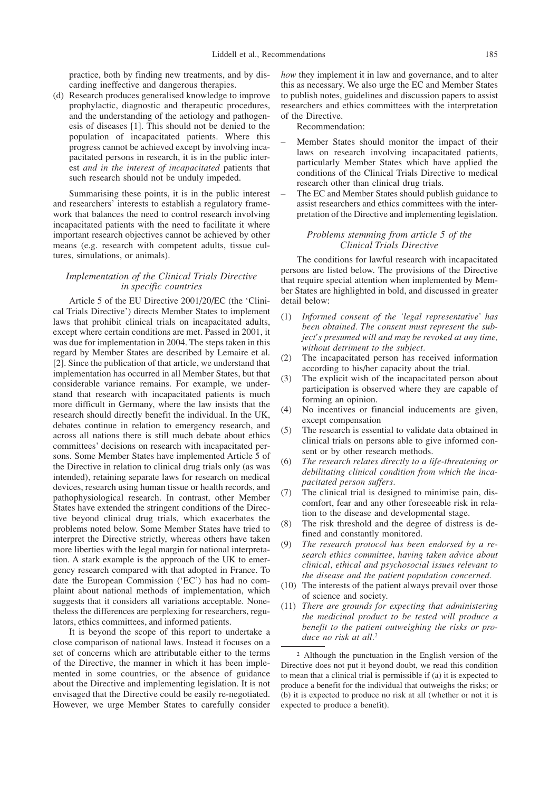practice, both by finding new treatments, and by discarding ineffective and dangerous therapies.

(d) Research produces generalised knowledge to improve prophylactic, diagnostic and therapeutic procedures, and the understanding of the aetiology and pathogenesis of diseases [1]. This should not be denied to the population of incapacitated patients. Where this progress cannot be achieved except by involving incapacitated persons in research, it is in the public interest *and in the interest of incapacitated* patients that such research should not be unduly impeded.

Summarising these points, it is in the public interest and researchers' interests to establish a regulatory framework that balances the need to control research involving incapacitated patients with the need to facilitate it where important research objectives cannot be achieved by other means (e.g. research with competent adults, tissue cultures, simulations, or animals).

## *Implementation of the Clinical Trials Directive in specific countries*

Article 5 of the EU Directive 2001/20/EC (the 'Clinical Trials Directive') directs Member States to implement laws that prohibit clinical trials on incapacitated adults, except where certain conditions are met. Passed in 2001, it was due for implementation in 2004. The steps taken in this regard by Member States are described by Lemaire et al. [2]. Since the publication of that article, we understand that implementation has occurred in all Member States, but that considerable variance remains. For example, we understand that research with incapacitated patients is much more difficult in Germany, where the law insists that the research should directly benefit the individual. In the UK, debates continue in relation to emergency research, and across all nations there is still much debate about ethics committees' decisions on research with incapacitated persons. Some Member States have implemented Article 5 of the Directive in relation to clinical drug trials only (as was intended), retaining separate laws for research on medical devices, research using human tissue or health records, and pathophysiological research. In contrast, other Member States have extended the stringent conditions of the Directive beyond clinical drug trials, which exacerbates the problems noted below. Some Member States have tried to interpret the Directive strictly, whereas others have taken more liberties with the legal margin for national interpretation. A stark example is the approach of the UK to emergency research compared with that adopted in France. To date the European Commission ('EC') has had no complaint about national methods of implementation, which suggests that it considers all variations acceptable. Nonetheless the differences are perplexing for researchers, regulators, ethics committees, and informed patients.

It is beyond the scope of this report to undertake a close comparison of national laws. Instead it focuses on a set of concerns which are attributable either to the terms of the Directive, the manner in which it has been implemented in some countries, or the absence of guidance about the Directive and implementing legislation. It is not envisaged that the Directive could be easily re-negotiated. However, we urge Member States to carefully consider *how* they implement it in law and governance, and to alter this as necessary. We also urge the EC and Member States to publish notes, guidelines and discussion papers to assist researchers and ethics committees with the interpretation of the Directive.

Recommendation:

- Member States should monitor the impact of their laws on research involving incapacitated patients, particularly Member States which have applied the conditions of the Clinical Trials Directive to medical research other than clinical drug trials.
- The EC and Member States should publish guidance to assist researchers and ethics committees with the interpretation of the Directive and implementing legislation.

## *Problems stemming from article 5 of the Clinical Trials Directive*

The conditions for lawful research with incapacitated persons are listed below. The provisions of the Directive that require special attention when implemented by Member States are highlighted in bold, and discussed in greater detail below:

- (1) *Informed consent of the 'legal representative' has been obtained. The consent must represent the subject's presumed will and may be revoked at any time, without detriment to the subject.*
- (2) The incapacitated person has received information according to his/her capacity about the trial.
- (3) The explicit wish of the incapacitated person about participation is observed where they are capable of forming an opinion.
- (4) No incentives or financial inducements are given, except compensation
- (5) The research is essential to validate data obtained in clinical trials on persons able to give informed consent or by other research methods.
- (6) *The research relates directly to a life-threatening or debilitating clinical condition from which the incapacitated person suffers.*
- (7) The clinical trial is designed to minimise pain, discomfort, fear and any other foreseeable risk in relation to the disease and developmental stage.
- (8) The risk threshold and the degree of distress is defined and constantly monitored.
- (9) *The research protocol has been endorsed by a research ethics committee, having taken advice about clinical, ethical and psychosocial issues relevant to the disease and the patient population concerned.*
- (10) The interests of the patient always prevail over those of science and society.
- (11) *There are grounds for expecting that administering the medicinal product to be tested will produce a benefit to the patient outweighing the risks or produce no risk at all.2*

<sup>2</sup> Although the punctuation in the English version of the Directive does not put it beyond doubt, we read this condition to mean that a clinical trial is permissible if (a) it is expected to produce a benefit for the individual that outweighs the risks; or (b) it is expected to produce no risk at all (whether or not it is expected to produce a benefit).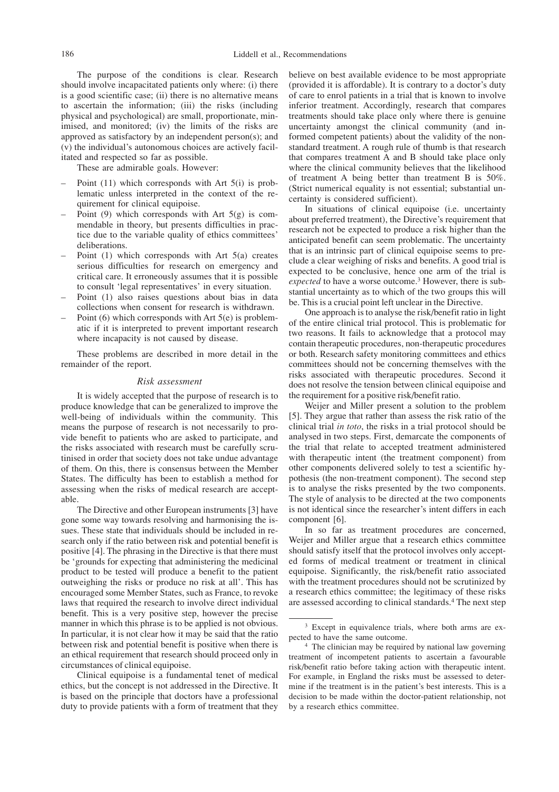The purpose of the conditions is clear. Research should involve incapacitated patients only where: (i) there is a good scientific case; (ii) there is no alternative means to ascertain the information; (iii) the risks (including physical and psychological) are small, proportionate, minimised, and monitored; (iv) the limits of the risks are approved as satisfactory by an independent person(s); and (v) the individual's autonomous choices are actively facilitated and respected so far as possible.

These are admirable goals. However:

- Point (11) which corresponds with Art 5(i) is problematic unless interpreted in the context of the requirement for clinical equipoise.
- Point (9) which corresponds with Art  $5(g)$  is commendable in theory, but presents difficulties in practice due to the variable quality of ethics committees' deliberations.
- Point  $(1)$  which corresponds with Art  $5(a)$  creates serious difficulties for research on emergency and critical care. It erroneously assumes that it is possible to consult 'legal representatives' in every situation.
- Point (1) also raises questions about bias in data collections when consent for research is withdrawn.
- Point  $(6)$  which corresponds with Art  $5(e)$  is problematic if it is interpreted to prevent important research where incapacity is not caused by disease.

These problems are described in more detail in the remainder of the report.

#### *Risk assessment*

It is widely accepted that the purpose of research is to produce knowledge that can be generalized to improve the well-being of individuals within the community. This means the purpose of research is not necessarily to provide benefit to patients who are asked to participate, and the risks associated with research must be carefully scrutinised in order that society does not take undue advantage of them. On this, there is consensus between the Member States. The difficulty has been to establish a method for assessing when the risks of medical research are acceptable.

The Directive and other European instruments [3] have gone some way towards resolving and harmonising the issues. These state that individuals should be included in research only if the ratio between risk and potential benefit is positive [4]. The phrasing in the Directive is that there must be 'grounds for expecting that administering the medicinal product to be tested will produce a benefit to the patient outweighing the risks or produce no risk at all'. This has encouraged some Member States, such as France, to revoke laws that required the research to involve direct individual benefit. This is a very positive step, however the precise manner in which this phrase is to be applied is not obvious. In particular, it is not clear how it may be said that the ratio between risk and potential benefit is positive when there is an ethical requirement that research should proceed only in circumstances of clinical equipoise.

Clinical equipoise is a fundamental tenet of medical ethics, but the concept is not addressed in the Directive. It is based on the principle that doctors have a professional duty to provide patients with a form of treatment that they believe on best available evidence to be most appropriate (provided it is affordable). It is contrary to a doctor's duty of care to enrol patients in a trial that is known to involve inferior treatment. Accordingly, research that compares treatments should take place only where there is genuine uncertainty amongst the clinical community (and informed competent patients) about the validity of the nonstandard treatment. A rough rule of thumb is that research that compares treatment A and B should take place only where the clinical community believes that the likelihood of treatment A being better than treatment B is 50%. (Strict numerical equality is not essential; substantial uncertainty is considered sufficient).

In situations of clinical equipoise (i.e. uncertainty about preferred treatment), the Directive's requirement that research not be expected to produce a risk higher than the anticipated benefit can seem problematic. The uncertainty that is an intrinsic part of clinical equipoise seems to preclude a clear weighing of risks and benefits. A good trial is expected to be conclusive, hence one arm of the trial is *expected* to have a worse outcome.<sup>3</sup> However, there is substantial uncertainty as to which of the two groups this will be. This is a crucial point left unclear in the Directive.

One approach is to analyse the risk/benefit ratio in light of the entire clinical trial protocol. This is problematic for two reasons. It fails to acknowledge that a protocol may contain therapeutic procedures, non-therapeutic procedures or both. Research safety monitoring committees and ethics committees should not be concerning themselves with the risks associated with therapeutic procedures. Second it does not resolve the tension between clinical equipoise and the requirement for a positive risk/benefit ratio.

Weijer and Miller present a solution to the problem [5]. They argue that rather than assess the risk ratio of the clinical trial *in toto*, the risks in a trial protocol should be analysed in two steps. First, demarcate the components of the trial that relate to accepted treatment administered with therapeutic intent (the treatment component) from other components delivered solely to test a scientific hypothesis (the non-treatment component). The second step is to analyse the risks presented by the two components. The style of analysis to be directed at the two components is not identical since the researcher's intent differs in each component [6].

In so far as treatment procedures are concerned, Weijer and Miller argue that a research ethics committee should satisfy itself that the protocol involves only accepted forms of medical treatment or treatment in clinical equipoise. Significantly, the risk/benefit ratio associated with the treatment procedures should not be scrutinized by a research ethics committee; the legitimacy of these risks are assessed according to clinical standards.4 The next step

<sup>3</sup> Except in equivalence trials, where both arms are expected to have the same outcome.

<sup>4</sup> The clinician may be required by national law governing treatment of incompetent patients to ascertain a favourable risk/benefit ratio before taking action with therapeutic intent. For example, in England the risks must be assessed to determine if the treatment is in the patient's best interests. This is a decision to be made within the doctor-patient relationship, not by a research ethics committee.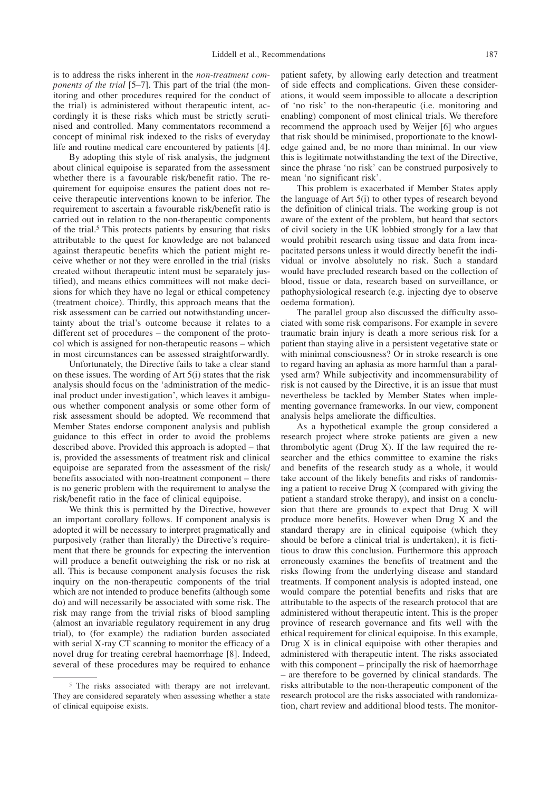is to address the risks inherent in the *non-treatment components of the trial* [5–7]. This part of the trial (the monitoring and other procedures required for the conduct of the trial) is administered without therapeutic intent, accordingly it is these risks which must be strictly scrutinised and controlled. Many commentators recommend a concept of minimal risk indexed to the risks of everyday life and routine medical care encountered by patients [4].

By adopting this style of risk analysis, the judgment about clinical equipoise is separated from the assessment whether there is a favourable risk/benefit ratio. The requirement for equipoise ensures the patient does not receive therapeutic interventions known to be inferior. The requirement to ascertain a favourable risk/benefit ratio is carried out in relation to the non-therapeutic components of the trial.5 This protects patients by ensuring that risks attributable to the quest for knowledge are not balanced against therapeutic benefits which the patient might receive whether or not they were enrolled in the trial (risks created without therapeutic intent must be separately justified), and means ethics committees will not make decisions for which they have no legal or ethical competency (treatment choice). Thirdly, this approach means that the risk assessment can be carried out notwithstanding uncertainty about the trial's outcome because it relates to a different set of procedures – the component of the protocol which is assigned for non-therapeutic reasons – which in most circumstances can be assessed straightforwardly.

Unfortunately, the Directive fails to take a clear stand on these issues. The wording of Art 5(i) states that the risk analysis should focus on the 'administration of the medicinal product under investigation', which leaves it ambiguous whether component analysis or some other form of risk assessment should be adopted. We recommend that Member States endorse component analysis and publish guidance to this effect in order to avoid the problems described above. Provided this approach is adopted – that is, provided the assessments of treatment risk and clinical equipoise are separated from the assessment of the risk/ benefits associated with non-treatment component – there is no generic problem with the requirement to analyse the risk/benefit ratio in the face of clinical equipoise.

We think this is permitted by the Directive, however an important corollary follows. If component analysis is adopted it will be necessary to interpret pragmatically and purposively (rather than literally) the Directive's requirement that there be grounds for expecting the intervention will produce a benefit outweighing the risk or no risk at all. This is because component analysis focuses the risk inquiry on the non-therapeutic components of the trial which are not intended to produce benefits (although some do) and will necessarily be associated with some risk. The risk may range from the trivial risks of blood sampling (almost an invariable regulatory requirement in any drug trial), to (for example) the radiation burden associated with serial X-ray CT scanning to monitor the efficacy of a novel drug for treating cerebral haemorrhage [8]. Indeed, several of these procedures may be required to enhance

patient safety, by allowing early detection and treatment of side effects and complications. Given these considerations, it would seem impossible to allocate a description of 'no risk' to the non-therapeutic (i.e. monitoring and enabling) component of most clinical trials. We therefore recommend the approach used by Weijer [6] who argues that risk should be minimised, proportionate to the knowledge gained and, be no more than minimal. In our view this is legitimate notwithstanding the text of the Directive, since the phrase 'no risk' can be construed purposively to mean 'no significant risk'.

This problem is exacerbated if Member States apply the language of Art 5(i) to other types of research beyond the definition of clinical trials. The working group is not aware of the extent of the problem, but heard that sectors of civil society in the UK lobbied strongly for a law that would prohibit research using tissue and data from incapacitated persons unless it would directly benefit the individual or involve absolutely no risk. Such a standard would have precluded research based on the collection of blood, tissue or data, research based on surveillance, or pathophysiological research (e.g. injecting dye to observe oedema formation).

The parallel group also discussed the difficulty associated with some risk comparisons. For example in severe traumatic brain injury is death a more serious risk for a patient than staying alive in a persistent vegetative state or with minimal consciousness? Or in stroke research is one to regard having an aphasia as more harmful than a paralysed arm? While subjectivity and incommensurability of risk is not caused by the Directive, it is an issue that must nevertheless be tackled by Member States when implementing governance frameworks. In our view, component analysis helps ameliorate the difficulties.

As a hypothetical example the group considered a research project where stroke patients are given a new thrombolytic agent (Drug X). If the law required the researcher and the ethics committee to examine the risks and benefits of the research study as a whole, it would take account of the likely benefits and risks of randomising a patient to receive Drug X (compared with giving the patient a standard stroke therapy), and insist on a conclusion that there are grounds to expect that Drug X will produce more benefits. However when Drug X and the standard therapy are in clinical equipoise (which they should be before a clinical trial is undertaken), it is fictitious to draw this conclusion. Furthermore this approach erroneously examines the benefits of treatment and the risks flowing from the underlying disease and standard treatments. If component analysis is adopted instead, one would compare the potential benefits and risks that are attributable to the aspects of the research protocol that are administered without therapeutic intent. This is the proper province of research governance and fits well with the ethical requirement for clinical equipoise. In this example, Drug X is in clinical equipoise with other therapies and administered with therapeutic intent. The risks associated with this component – principally the risk of haemorrhage – are therefore to be governed by clinical standards. The risks attributable to the non-therapeutic component of the research protocol are the risks associated with randomization, chart review and additional blood tests. The monitor-

<sup>&</sup>lt;sup>5</sup> The risks associated with therapy are not irrelevant. They are considered separately when assessing whether a state of clinical equipoise exists.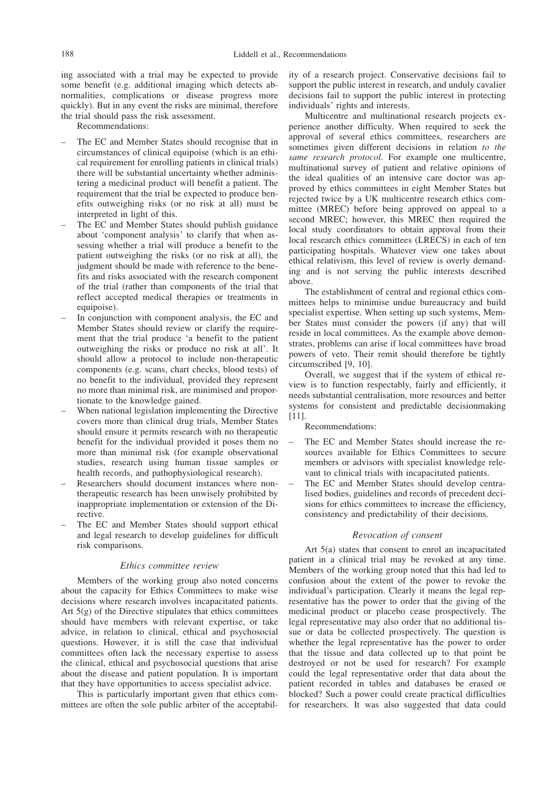ing associated with a trial may be expected to provide some benefit (e.g. additional imaging which detects abnormalities, complications or disease progress more quickly). But in any event the risks are minimal, therefore the trial should pass the risk assessment.

Recommendations:

- The EC and Member States should recognise that in circumstances of clinical equipoise (which is an ethical requirement for enrolling patients in clinical trials) there will be substantial uncertainty whether administering a medicinal product will benefit a patient. The requirement that the trial be expected to produce benefits outweighing risks (or no risk at all) must be interpreted in light of this.
- The EC and Member States should publish guidance about 'component analysis' to clarify that when assessing whether a trial will produce a benefit to the patient outweighing the risks (or no risk at all), the judgment should be made with reference to the benefits and risks associated with the research component of the trial (rather than components of the trial that reflect accepted medical therapies or treatments in equipoise).
- In conjunction with component analysis, the EC and Member States should review or clarify the requirement that the trial produce 'a benefit to the patient outweighing the risks or produce no risk at all'. It should allow a protocol to include non-therapeutic components (e.g. scans, chart checks, blood tests) of no benefit to the individual, provided they represent no more than minimal risk, are minimised and proportionate to the knowledge gained.
- When national legislation implementing the Directive covers more than clinical drug trials, Member States should ensure it permits research with no therapeutic benefit for the individual provided it poses them no more than minimal risk (for example observational studies, research using human tissue samples or health records, and pathophysiological research).
- Researchers should document instances where nontherapeutic research has been unwisely prohibited by inappropriate implementation or extension of the Directive.
- The EC and Member States should support ethical and legal research to develop guidelines for difficult risk comparisons.

#### *Ethics committee review*

Members of the working group also noted concerns about the capacity for Ethics Committees to make wise decisions where research involves incapacitated patients. Art  $5(g)$  of the Directive stipulates that ethics committees should have members with relevant expertise, or take advice, in relation to clinical, ethical and psychosocial questions. However, it is still the case that individual committees often lack the necessary expertise to assess the clinical, ethical and psychosocial questions that arise about the disease and patient population. It is important that they have opportunities to access specialist advice.

This is particularly important given that ethics committees are often the sole public arbiter of the acceptability of a research project. Conservative decisions fail to support the public interest in research, and unduly cavalier decisions fail to support the public interest in protecting individuals' rights and interests.

Multicentre and multinational research projects experience another difficulty. When required to seek the approval of several ethics committees, researchers are sometimes given different decisions in relation *to the same research protocol*. For example one multicentre, multinational survey of patient and relative opinions of the ideal qualities of an intensive care doctor was approved by ethics committees in eight Member States but rejected twice by a UK multicentre research ethics committee (MREC) before being approved on appeal to a second MREC; however, this MREC then required the local study coordinators to obtain approval from their local research ethics committees (LRECS) in each of ten participating hospitals. Whatever view one takes about ethical relativism, this level of review is overly demanding and is not serving the public interests described above.

The establishment of central and regional ethics committees helps to minimise undue bureaucracy and build specialist expertise. When setting up such systems, Member States must consider the powers (if any) that will reside in local committees. As the example above demonstrates, problems can arise if local committees have broad powers of veto. Their remit should therefore be tightly circumscribed [9, 10].

Overall, we suggest that if the system of ethical review is to function respectably, fairly and efficiently, it needs substantial centralisation, more resources and better systems for consistent and predictable decisionmaking [11].

Recommendations:

- The EC and Member States should increase the resources available for Ethics Committees to secure members or advisors with specialist knowledge relevant to clinical trials with incapacitated patients.
- The EC and Member States should develop centralised bodies, guidelines and records of precedent decisions for ethics committees to increase the efficiency, consistency and predictability of their decisions.

#### *Revocation of consent*

Art 5(a) states that consent to enrol an incapacitated patient in a clinical trial may be revoked at any time. Members of the working group noted that this had led to confusion about the extent of the power to revoke the individual's participation. Clearly it means the legal representative has the power to order that the giving of the medicinal product or placebo cease prospectively. The legal representative may also order that no additional tissue or data be collected prospectively. The question is whether the legal representative has the power to order that the tissue and data collected up to that point be destroyed or not be used for research? For example could the legal representative order that data about the patient recorded in tables and databases be erased or blocked? Such a power could create practical difficulties for researchers. It was also suggested that data could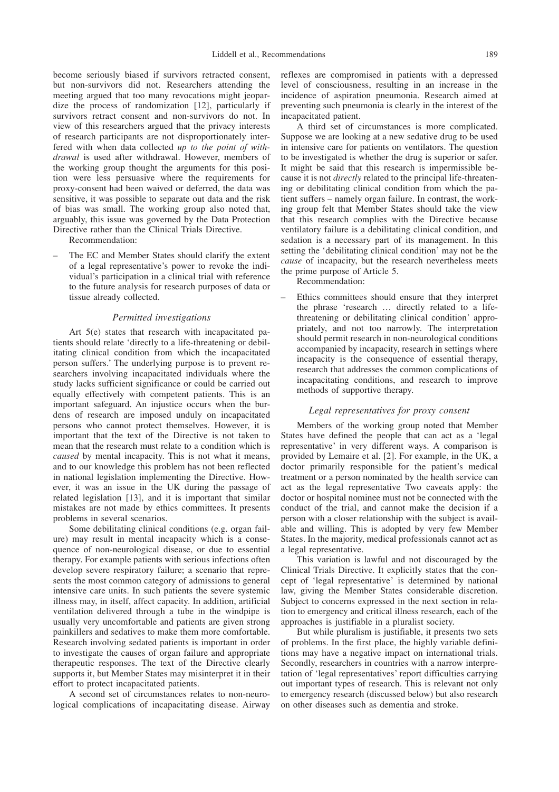become seriously biased if survivors retracted consent, but non-survivors did not. Researchers attending the meeting argued that too many revocations might jeopardize the process of randomization [12], particularly if survivors retract consent and non-survivors do not. In view of this researchers argued that the privacy interests of research participants are not disproportionately interfered with when data collected *up to the point of withdrawal* is used after withdrawal. However, members of the working group thought the arguments for this position were less persuasive where the requirements for proxy-consent had been waived or deferred, the data was sensitive, it was possible to separate out data and the risk of bias was small. The working group also noted that, arguably, this issue was governed by the Data Protection Directive rather than the Clinical Trials Directive.

Recommendation:

– The EC and Member States should clarify the extent of a legal representative's power to revoke the individual's participation in a clinical trial with reference to the future analysis for research purposes of data or tissue already collected.

#### *Permitted investigations*

Art 5(e) states that research with incapacitated patients should relate 'directly to a life-threatening or debilitating clinical condition from which the incapacitated person suffers.' The underlying purpose is to prevent researchers involving incapacitated individuals where the study lacks sufficient significance or could be carried out equally effectively with competent patients. This is an important safeguard. An injustice occurs when the burdens of research are imposed unduly on incapacitated persons who cannot protect themselves. However, it is important that the text of the Directive is not taken to mean that the research must relate to a condition which is *caused* by mental incapacity. This is not what it means, and to our knowledge this problem has not been reflected in national legislation implementing the Directive. However, it was an issue in the UK during the passage of related legislation [13], and it is important that similar mistakes are not made by ethics committees. It presents problems in several scenarios.

Some debilitating clinical conditions (e.g. organ failure) may result in mental incapacity which is a consequence of non-neurological disease, or due to essential therapy. For example patients with serious infections often develop severe respiratory failure; a scenario that represents the most common category of admissions to general intensive care units. In such patients the severe systemic illness may, in itself, affect capacity. In addition, artificial ventilation delivered through a tube in the windpipe is usually very uncomfortable and patients are given strong painkillers and sedatives to make them more comfortable. Research involving sedated patients is important in order to investigate the causes of organ failure and appropriate therapeutic responses. The text of the Directive clearly supports it, but Member States may misinterpret it in their effort to protect incapacitated patients.

A second set of circumstances relates to non-neurological complications of incapacitating disease. Airway reflexes are compromised in patients with a depressed level of consciousness, resulting in an increase in the incidence of aspiration pneumonia. Research aimed at preventing such pneumonia is clearly in the interest of the incapacitated patient.

A third set of circumstances is more complicated. Suppose we are looking at a new sedative drug to be used in intensive care for patients on ventilators. The question to be investigated is whether the drug is superior or safer. It might be said that this research is impermissible because it is not *directly* related to the principal life-threatening or debilitating clinical condition from which the patient suffers – namely organ failure. In contrast, the working group felt that Member States should take the view that this research complies with the Directive because ventilatory failure is a debilitating clinical condition, and sedation is a necessary part of its management. In this setting the 'debilitating clinical condition' may not be the *cause* of incapacity, but the research nevertheless meets the prime purpose of Article 5.

Recommendation:

– Ethics committees should ensure that they interpret the phrase 'research … directly related to a lifethreatening or debilitating clinical condition' appropriately, and not too narrowly. The interpretation should permit research in non-neurological conditions accompanied by incapacity, research in settings where incapacity is the consequence of essential therapy, research that addresses the common complications of incapacitating conditions, and research to improve methods of supportive therapy.

#### *Legal representatives for proxy consent*

Members of the working group noted that Member States have defined the people that can act as a 'legal representative' in very different ways. A comparison is provided by Lemaire et al. [2]. For example, in the UK, a doctor primarily responsible for the patient's medical treatment or a person nominated by the health service can act as the legal representative Two caveats apply: the doctor or hospital nominee must not be connected with the conduct of the trial, and cannot make the decision if a person with a closer relationship with the subject is available and willing. This is adopted by very few Member States. In the majority, medical professionals cannot act as a legal representative.

This variation is lawful and not discouraged by the Clinical Trials Directive. It explicitly states that the concept of 'legal representative' is determined by national law, giving the Member States considerable discretion. Subject to concerns expressed in the next section in relation to emergency and critical illness research, each of the approaches is justifiable in a pluralist society.

But while pluralism is justifiable, it presents two sets of problems. In the first place, the highly variable definitions may have a negative impact on international trials. Secondly, researchers in countries with a narrow interpretation of 'legal representatives' report difficulties carrying out important types of research. This is relevant not only to emergency research (discussed below) but also research on other diseases such as dementia and stroke.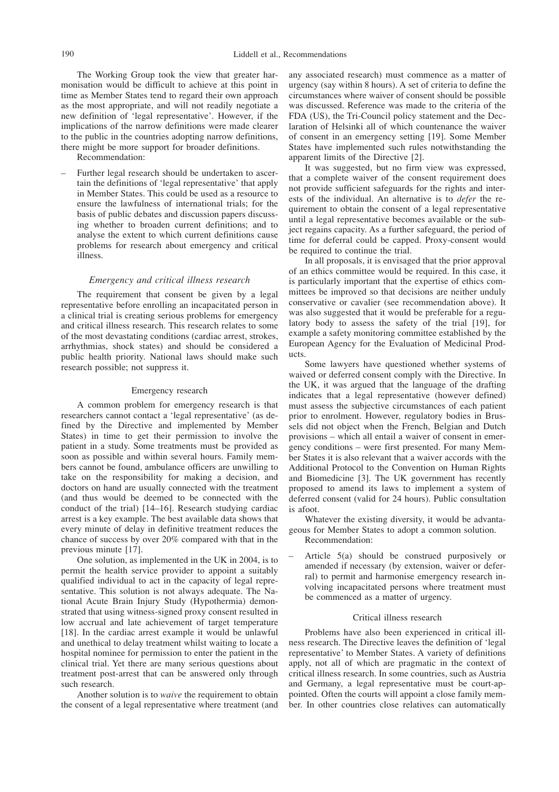The Working Group took the view that greater harmonisation would be difficult to achieve at this point in time as Member States tend to regard their own approach as the most appropriate, and will not readily negotiate a new definition of 'legal representative'. However, if the implications of the narrow definitions were made clearer to the public in the countries adopting narrow definitions, there might be more support for broader definitions.

Recommendation:

– Further legal research should be undertaken to ascertain the definitions of 'legal representative' that apply in Member States. This could be used as a resource to ensure the lawfulness of international trials; for the basis of public debates and discussion papers discussing whether to broaden current definitions; and to analyse the extent to which current definitions cause problems for research about emergency and critical illness.

#### *Emergency and critical illness research*

The requirement that consent be given by a legal representative before enrolling an incapacitated person in a clinical trial is creating serious problems for emergency and critical illness research. This research relates to some of the most devastating conditions (cardiac arrest, strokes, arrhythmias, shock states) and should be considered a public health priority. National laws should make such research possible; not suppress it.

#### Emergency research

A common problem for emergency research is that researchers cannot contact a 'legal representative' (as defined by the Directive and implemented by Member States) in time to get their permission to involve the patient in a study. Some treatments must be provided as soon as possible and within several hours. Family members cannot be found, ambulance officers are unwilling to take on the responsibility for making a decision, and doctors on hand are usually connected with the treatment (and thus would be deemed to be connected with the conduct of the trial) [14–16]. Research studying cardiac arrest is a key example. The best available data shows that every minute of delay in definitive treatment reduces the chance of success by over 20% compared with that in the previous minute [17].

One solution, as implemented in the UK in 2004, is to permit the health service provider to appoint a suitably qualified individual to act in the capacity of legal representative. This solution is not always adequate. The National Acute Brain Injury Study (Hypothermia) demonstrated that using witness-signed proxy consent resulted in low accrual and late achievement of target temperature [18]. In the cardiac arrest example it would be unlawful and unethical to delay treatment whilst waiting to locate a hospital nominee for permission to enter the patient in the clinical trial. Yet there are many serious questions about treatment post-arrest that can be answered only through such research.

Another solution is to *waive* the requirement to obtain the consent of a legal representative where treatment (and any associated research) must commence as a matter of urgency (say within 8 hours). A set of criteria to define the circumstances where waiver of consent should be possible was discussed. Reference was made to the criteria of the FDA (US), the Tri-Council policy statement and the Declaration of Helsinki all of which countenance the waiver of consent in an emergency setting [19]. Some Member States have implemented such rules notwithstanding the apparent limits of the Directive [2].

It was suggested, but no firm view was expressed, that a complete waiver of the consent requirement does not provide sufficient safeguards for the rights and interests of the individual. An alternative is to *defer* the requirement to obtain the consent of a legal representative until a legal representative becomes available or the subject regains capacity. As a further safeguard, the period of time for deferral could be capped. Proxy-consent would be required to continue the trial.

In all proposals, it is envisaged that the prior approval of an ethics committee would be required. In this case, it is particularly important that the expertise of ethics committees be improved so that decisions are neither unduly conservative or cavalier (see recommendation above). It was also suggested that it would be preferable for a regulatory body to assess the safety of the trial [19], for example a safety monitoring committee established by the European Agency for the Evaluation of Medicinal Products.

Some lawyers have questioned whether systems of waived or deferred consent comply with the Directive. In the UK, it was argued that the language of the drafting indicates that a legal representative (however defined) must assess the subjective circumstances of each patient prior to enrolment. However, regulatory bodies in Brussels did not object when the French, Belgian and Dutch provisions – which all entail a waiver of consent in emergency conditions – were first presented. For many Member States it is also relevant that a waiver accords with the Additional Protocol to the Convention on Human Rights and Biomedicine [3]. The UK government has recently proposed to amend its laws to implement a system of deferred consent (valid for 24 hours). Public consultation is afoot.

Whatever the existing diversity, it would be advantageous for Member States to adopt a common solution. Recommendation:

– Article 5(a) should be construed purposively or amended if necessary (by extension, waiver or deferral) to permit and harmonise emergency research involving incapacitated persons where treatment must be commenced as a matter of urgency.

#### Critical illness research

Problems have also been experienced in critical illness research. The Directive leaves the definition of 'legal representative' to Member States. A variety of definitions apply, not all of which are pragmatic in the context of critical illness research. In some countries, such as Austria and Germany, a legal representative must be court-appointed. Often the courts will appoint a close family member. In other countries close relatives can automatically